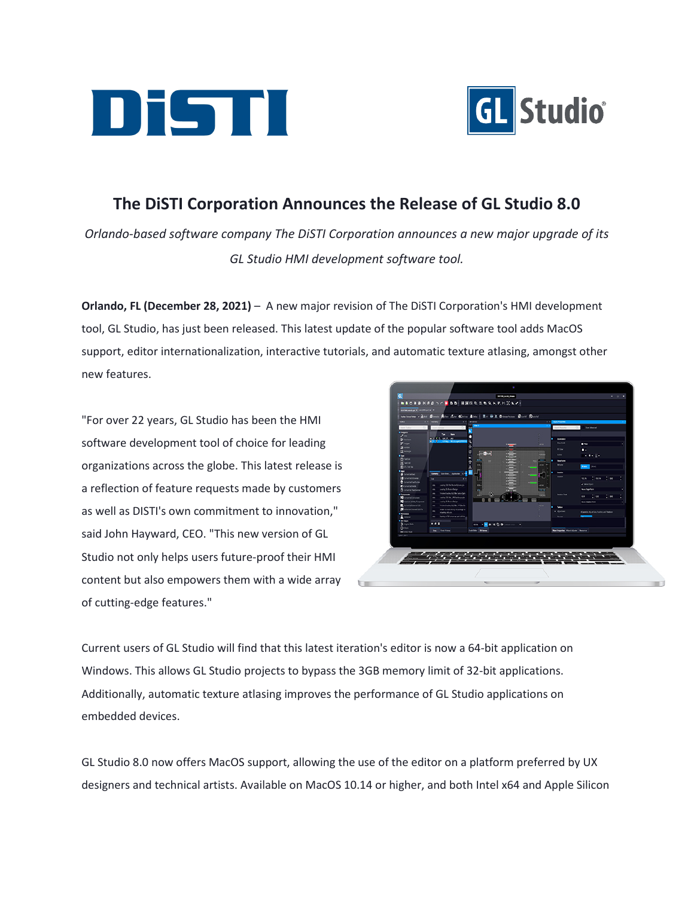



## **The DiSTI Corporation Announces the Release of GL Studio 8.0**

*Orlando-based software company The DiSTI Corporation announces a new major upgrade of its GL Studio HMI development software tool.*

**Orlando, FL (December 28, 2021)** – A new major revision of The DiSTI Corporation's HMI development tool, GL Studio, has just been released. This latest update of the popular software tool adds MacOS support, editor internationalization, interactive tutorials, and automatic texture atlasing, amongst other new features.

"For over 22 years, GL Studio has been the HMI software development tool of choice for leading organizations across the globe. This latest release is a reflection of feature requests made by customers as well as DISTI's own commitment to innovation," said John Hayward, CEO. "This new version of GL Studio not only helps users future-proof their HMI content but also empowers them with a wide array of cutting-edge features."



Current users of GL Studio will find that this latest iteration's editor is now a 64-bit application on Windows. This allows GL Studio projects to bypass the 3GB memory limit of 32-bit applications. Additionally, automatic texture atlasing improves the performance of GL Studio applications on embedded devices.

GL Studio 8.0 now offers MacOS support, allowing the use of the editor on a platform preferred by UX designers and technical artists. Available on MacOS 10.14 or higher, and both Intel x64 and Apple Silicon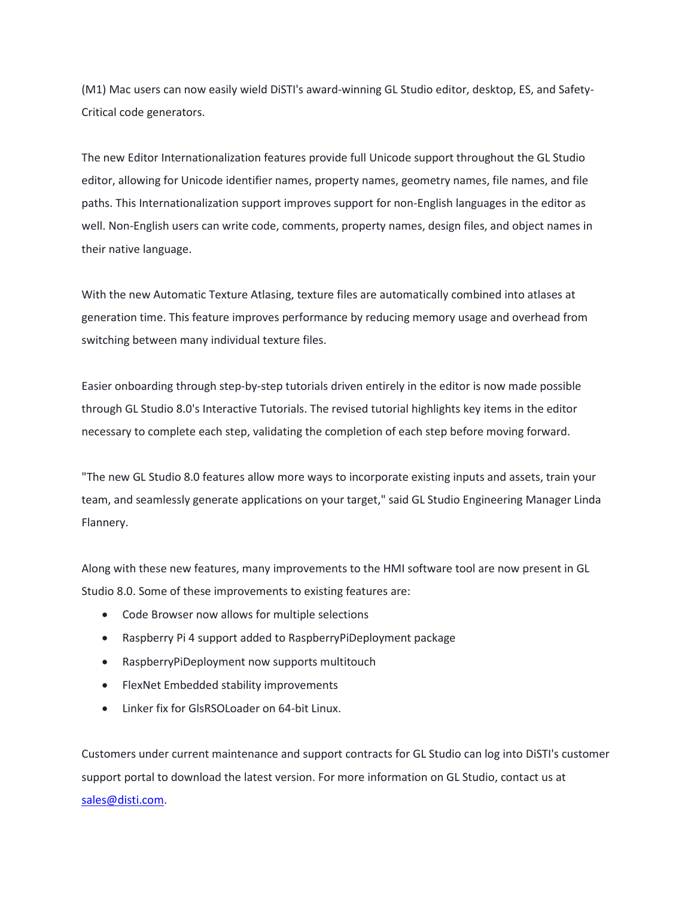(M1) Mac users can now easily wield DiSTI's award-winning GL Studio editor, desktop, ES, and Safety-Critical code generators.

The new Editor Internationalization features provide full Unicode support throughout the GL Studio editor, allowing for Unicode identifier names, property names, geometry names, file names, and file paths. This Internationalization support improves support for non-English languages in the editor as well. Non-English users can write code, comments, property names, design files, and object names in their native language.

With the new Automatic Texture Atlasing, texture files are automatically combined into atlases at generation time. This feature improves performance by reducing memory usage and overhead from switching between many individual texture files.

Easier onboarding through step-by-step tutorials driven entirely in the editor is now made possible through GL Studio 8.0's Interactive Tutorials. The revised tutorial highlights key items in the editor necessary to complete each step, validating the completion of each step before moving forward.

"The new GL Studio 8.0 features allow more ways to incorporate existing inputs and assets, train your team, and seamlessly generate applications on your target," said GL Studio Engineering Manager Linda Flannery.

Along with these new features, many improvements to the HMI software tool are now present in GL Studio 8.0. Some of these improvements to existing features are:

- Code Browser now allows for multiple selections
- Raspberry Pi 4 support added to RaspberryPiDeployment package
- RaspberryPiDeployment now supports multitouch
- FlexNet Embedded stability improvements
- Linker fix for GlsRSOLoader on 64-bit Linux.

Customers under current maintenance and support contracts for GL Studio can log into DiSTI's customer support portal to download the latest version. For more information on GL Studio, contact us at [sales@disti.com.](mailto:sales@disti.com)